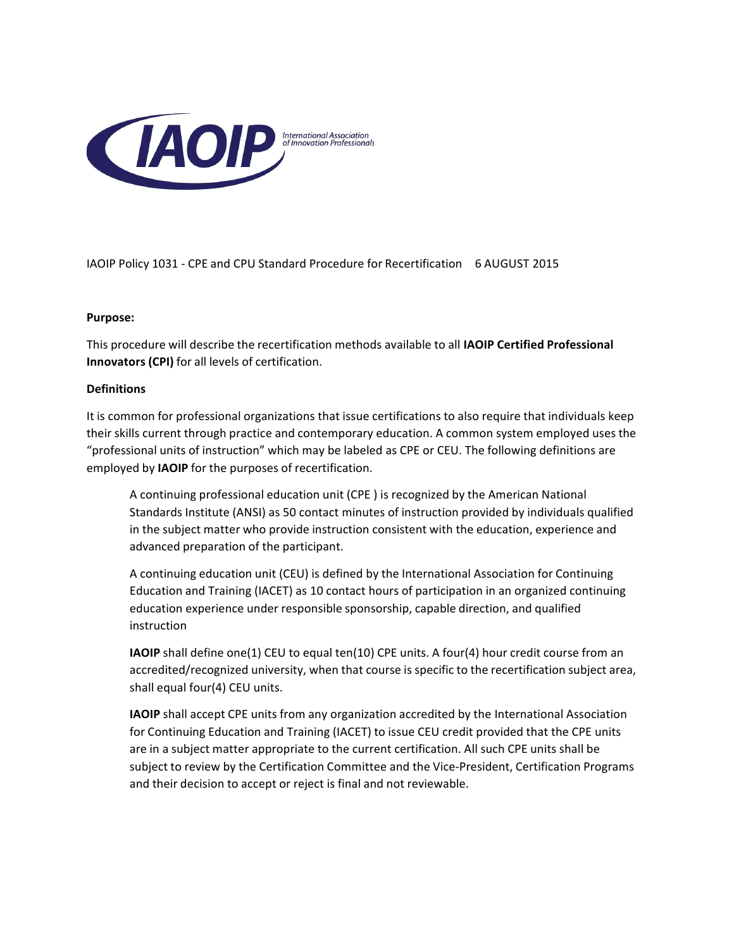

IAOIP Policy 1031 - CPE and CPU Standard Procedure for Recertification 6 AUGUST 2015

#### **Purpose:**

This procedure will describe the recertification methods available to all **IAOIP Certified Professional Innovators (CPI)** for all levels of certification.

#### **Definitions**

It is common for professional organizations that issue certifications to also require that individuals keep their skills current through practice and contemporary education. A common system employed uses the "professional units of instruction" which may be labeled as CPE or CEU. The following definitions are employed by **IAOIP** for the purposes of recertification.

A continuing professional education unit (CPE ) is recognized by the American National Standards Institute (ANSI) as 50 contact minutes of instruction provided by individuals qualified in the subject matter who provide instruction consistent with the education, experience and advanced preparation of the participant.

A continuing education unit (CEU) is defined by the International Association for Continuing Education and Training (IACET) as 10 contact hours of participation in an organized continuing education experience under responsible sponsorship, capable direction, and qualified instruction

**IAOIP** shall define one(1) CEU to equal ten(10) CPE units. A four(4) hour credit course from an accredited/recognized university, when that course is specific to the recertification subject area, shall equal four(4) CEU units.

**IAOIP** shall accept CPE units from any organization accredited by the International Association for Continuing Education and Training (IACET) to issue CEU credit provided that the CPE units are in a subject matter appropriate to the current certification. All such CPE units shall be subject to review by the Certification Committee and the Vice-President, Certification Programs and their decision to accept or reject is final and not reviewable.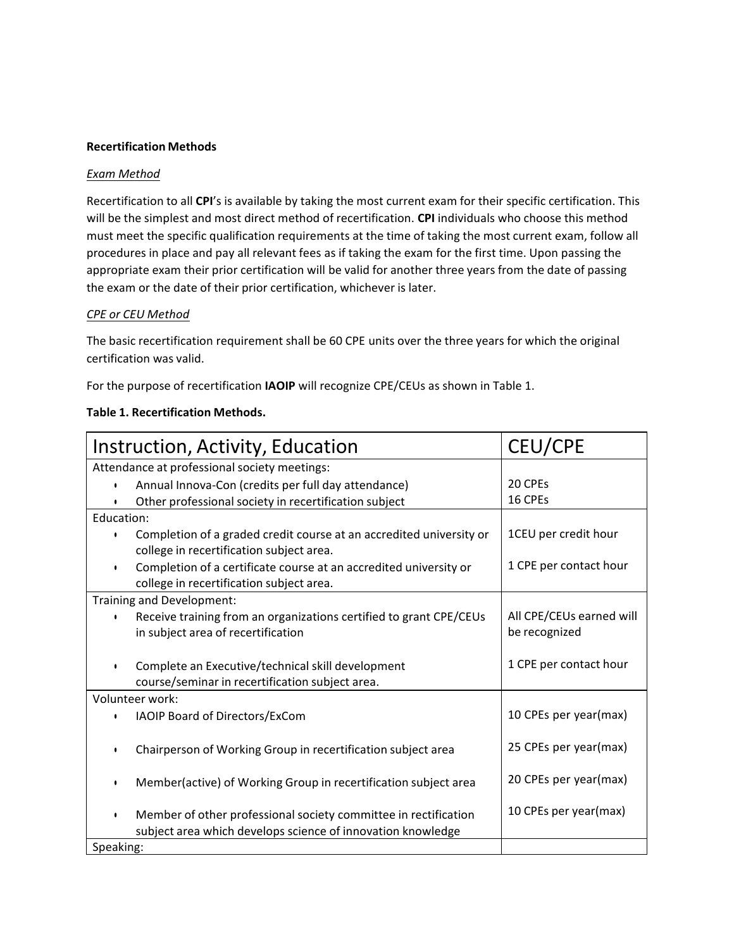### **Recertification Methods**

#### *Exam Method*

Recertification to all CPI's is available by taking the most current exam for their specific certification. This will be the simplest and most direct method of recertification. **CPI** individuals who choose this method must meet the specific qualification requirements at the time of taking the most current exam, follow all procedures in place and pay all relevant fees as if taking the exam for the first time. Upon passing the appropriate exam their prior certification will be valid for another three years from the date of passing the exam or the date of their prior certification, whichever is later.

#### *CPE or CEU Method*

The basic recertification requirement shall be 60 CPE units over the three years for which the original certification was valid.

For the purpose of recertification **IAOIP** will recognize CPE/CEUs as shown in Table 1.

| Instruction, Activity, Education             |                                                                     | <b>CEU/CPE</b>           |  |
|----------------------------------------------|---------------------------------------------------------------------|--------------------------|--|
| Attendance at professional society meetings: |                                                                     |                          |  |
| $\bullet$                                    | Annual Innova-Con (credits per full day attendance)                 | 20 CPEs                  |  |
| $\bullet$                                    | Other professional society in recertification subject               | 16 CPEs                  |  |
| Education:                                   |                                                                     |                          |  |
| $\bullet$                                    | Completion of a graded credit course at an accredited university or | 1CEU per credit hour     |  |
|                                              | college in recertification subject area.                            |                          |  |
| $\bullet$                                    | Completion of a certificate course at an accredited university or   | 1 CPE per contact hour   |  |
|                                              | college in recertification subject area.                            |                          |  |
| Training and Development:                    |                                                                     |                          |  |
|                                              | Receive training from an organizations certified to grant CPE/CEUs  | All CPE/CEUs earned will |  |
|                                              | in subject area of recertification                                  | be recognized            |  |
|                                              |                                                                     |                          |  |
| $\bullet$                                    | Complete an Executive/technical skill development                   | 1 CPE per contact hour   |  |
|                                              | course/seminar in recertification subject area.                     |                          |  |
|                                              | Volunteer work:                                                     |                          |  |
| ٠                                            | IAOIP Board of Directors/ExCom                                      | 10 CPEs per year(max)    |  |
|                                              |                                                                     |                          |  |
| $\bullet$                                    | Chairperson of Working Group in recertification subject area        | 25 CPEs per year(max)    |  |
|                                              |                                                                     | 20 CPEs per year(max)    |  |
| $\bullet$                                    | Member(active) of Working Group in recertification subject area     |                          |  |
|                                              |                                                                     | 10 CPEs per year(max)    |  |
| ٠                                            | Member of other professional society committee in rectification     |                          |  |
|                                              | subject area which develops science of innovation knowledge         |                          |  |
| Speaking:                                    |                                                                     |                          |  |

#### **Table 1. Recertification Methods.**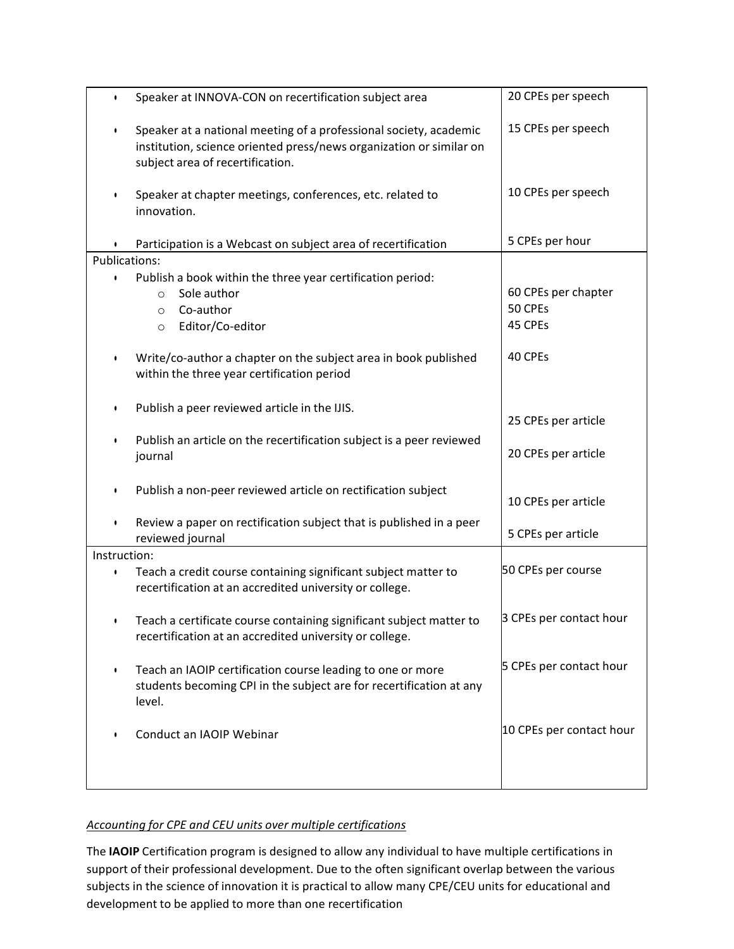| $\bullet$     | Speaker at INNOVA-CON on recertification subject area                                                                                                                        | 20 CPEs per speech                        |  |
|---------------|------------------------------------------------------------------------------------------------------------------------------------------------------------------------------|-------------------------------------------|--|
| $\bullet$     | Speaker at a national meeting of a professional society, academic<br>institution, science oriented press/news organization or similar on<br>subject area of recertification. | 15 CPEs per speech                        |  |
| $\bullet$     | Speaker at chapter meetings, conferences, etc. related to<br>innovation.                                                                                                     | 10 CPEs per speech                        |  |
|               | Participation is a Webcast on subject area of recertification                                                                                                                | 5 CPEs per hour                           |  |
| Publications: |                                                                                                                                                                              |                                           |  |
| $\bullet$     | Publish a book within the three year certification period:<br>Sole author<br>$\Omega$<br>Co-author<br>$\Omega$<br>Editor/Co-editor<br>$\circ$                                | 60 CPEs per chapter<br>50 CPEs<br>45 CPEs |  |
| $\bullet$     | Write/co-author a chapter on the subject area in book published<br>within the three year certification period                                                                | 40 CPEs                                   |  |
| ٠             | Publish a peer reviewed article in the IJIS.                                                                                                                                 | 25 CPEs per article                       |  |
| ٠             | Publish an article on the recertification subject is a peer reviewed<br>journal                                                                                              | 20 CPEs per article                       |  |
| ٠             | Publish a non-peer reviewed article on rectification subject                                                                                                                 | 10 CPEs per article                       |  |
| $\bullet$     | Review a paper on rectification subject that is published in a peer<br>reviewed journal                                                                                      | 5 CPEs per article                        |  |
| Instruction:  |                                                                                                                                                                              |                                           |  |
| $\bullet$     | Teach a credit course containing significant subject matter to<br>recertification at an accredited university or college.                                                    | 50 CPEs per course                        |  |
| ٠             | Teach a certificate course containing significant subject matter to<br>recertification at an accredited university or college.                                               | 3 CPEs per contact hour                   |  |
|               | Teach an IAOIP certification course leading to one or more<br>students becoming CPI in the subject are for recertification at any<br>level.                                  | 5 CPEs per contact hour                   |  |
|               | Conduct an IAOIP Webinar                                                                                                                                                     | 10 CPEs per contact hour                  |  |

# *Accounting for CPE and CEU units over multiple certifications*

The IAOIP Certification program is designed to allow any individual to have multiple certifications in support of their professional development. Due to the often significant overlap between the various subjects in the science of innovation it is practical to allow many CPE/CEU units for educational and development to be applied to more than one recertification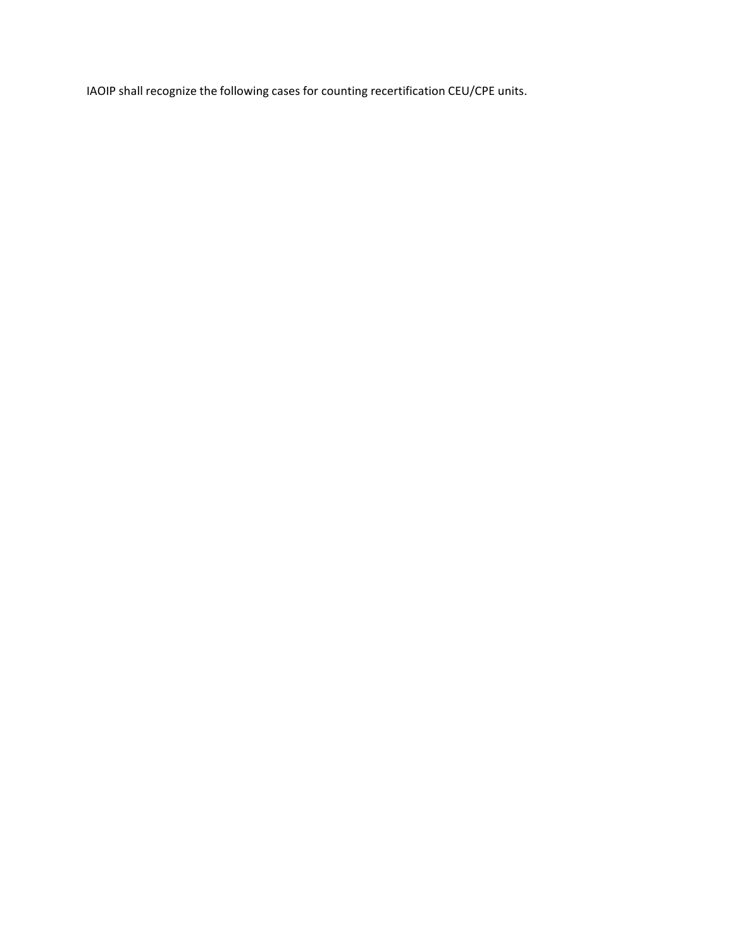IAOIP shall recognize the following cases for counting recertification CEU/CPE units.